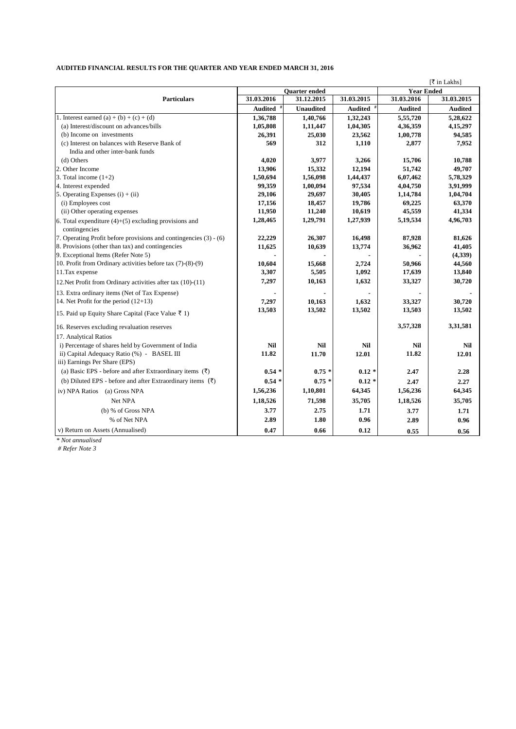## **AUDITED FINANCIAL RESULTS FOR THE QUARTER AND YEAR ENDED MARCH 31, 2016**

|                                                                          |                      |                  | [₹ in Lakhs] |                   |            |
|--------------------------------------------------------------------------|----------------------|------------------|--------------|-------------------|------------|
|                                                                          | <b>Ouarter</b> ended |                  |              | <b>Year Ended</b> |            |
| <b>Particulars</b>                                                       | 31.03.2016           | 31.12.2015       | 31.03.2015   | 31.03.2016        | 31.03.2015 |
|                                                                          | Audited              | <b>Unaudited</b> | Audited #    | <b>Audited</b>    | Audited    |
| 1. Interest earned (a) + (b) + (c) + (d)                                 | 1,36,788             | 1,40,766         | 1,32,243     | 5,55,720          | 5,28,622   |
| (a) Interest/discount on advances/bills                                  | 1,05,808             | 1,11,447         | 1,04,305     | 4,36,359          | 4,15,297   |
| (b) Income on investments                                                | 26,391               | 25,030           | 23,562       | 1,00,778          | 94,585     |
| (c) Interest on balances with Reserve Bank of                            | 569                  | 312              | 1,110        | 2,877             | 7,952      |
| India and other inter-bank funds                                         |                      |                  |              |                   |            |
| (d) Others                                                               | 4,020                | 3,977            | 3,266        | 15,706            | 10,788     |
| 2. Other Income                                                          | 13,906               | 15,332           | 12,194       | 51,742            | 49,707     |
| 3. Total income $(1+2)$                                                  | 1,50,694             | 1,56,098         | 1,44,437     | 6,07,462          | 5,78,329   |
| 4. Interest expended                                                     | 99,359               | 1,00,094         | 97,534       | 4,04,750          | 3,91,999   |
| 5. Operating Expenses $(i) + (ii)$                                       | 29,106               | 29,697           | 30,405       | 1,14,784          | 1,04,704   |
| (i) Employees cost                                                       | 17,156               | 18,457           | 19,786       | 69,225            | 63,370     |
| (ii) Other operating expenses                                            | 11,950               | 11,240           | 10,619       | 45,559            | 41,334     |
| 6. Total expenditure $(4)+(5)$ excluding provisions and<br>contingencies | 1,28,465             | 1,29,791         | 1,27,939     | 5,19,534          | 4,96,703   |
| 7. Operating Profit before provisions and contingencies (3) - (6)        | 22,229               | 26,307           | 16,498       | 87,928            | 81,626     |
| 8. Provisions (other than tax) and contingencies                         | 11,625               | 10,639           | 13,774       | 36,962            | 41,405     |
| 9. Exceptional Items (Refer Note 5)                                      |                      |                  |              |                   | (4,339)    |
| 10. Profit from Ordinary activities before tax (7)-(8)-(9)               | 10,604               | 15,668           | 2,724        | 50,966            | 44,560     |
| 11. Tax expense                                                          | 3,307                | 5,505            | 1,092        | 17,639            | 13,840     |
| 12. Net Profit from Ordinary activities after tax (10)-(11)              | 7,297                | 10,163           | 1,632        | 33,327            | 30,720     |
| 13. Extra ordinary items (Net of Tax Expense)                            |                      |                  |              |                   |            |
| 14. Net Profit for the period (12+13)                                    | 7,297                | 10,163           | 1,632        | 33,327            | 30,720     |
| 15. Paid up Equity Share Capital (Face Value ₹ 1)                        | 13,503               | 13,502           | 13,502       | 13,503            | 13,502     |
| 16. Reserves excluding revaluation reserves                              |                      |                  |              | 3,57,328          | 3,31,581   |
| 17. Analytical Ratios                                                    |                      |                  |              |                   |            |
| i) Percentage of shares held by Government of India                      | Nil                  | <b>Nil</b>       | <b>Nil</b>   | <b>Nil</b>        | Nil        |
| ii) Capital Adequacy Ratio (%) - BASEL III                               | 11.82                | 11.70            | 12.01        | 11.82             | 12.01      |
| iii) Earnings Per Share (EPS)                                            |                      |                  |              |                   |            |
| (a) Basic EPS - before and after Extraordinary items $(\bar{\tau})$      | $0.54*$              | $0.75*$          | $0.12 *$     | 2.47              | 2.28       |
| (b) Diluted EPS - before and after Extraordinary items $(\bar{\tau})$    | $0.54*$              | $0.75*$          | $0.12*$      | 2.47              | 2.27       |
| iv) NPA Ratios (a) Gross NPA                                             | 1,56,236             | 1,10,801         | 64,345       | 1,56,236          | 64,345     |
| Net NPA                                                                  | 1,18,526             | 71,598           | 35,705       | 1,18,526          | 35,705     |
| (b) % of Gross NPA                                                       | 3.77                 | 2.75             | 1.71         | 3.77              | 1.71       |
| % of Net NPA                                                             | 2.89                 | 1.80             | 0.96         | 2.89              | 0.96       |
| v) Return on Assets (Annualised)                                         | 0.47                 | 0.66             | 0.12         | 0.55              | 0.56       |

*\* Not annualised*

 *# Refer Note 3*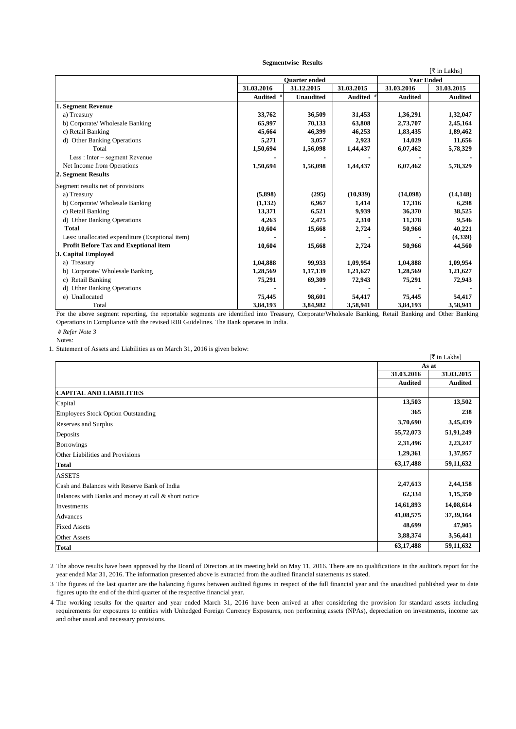|                                                 |                      |                  |            |                   | [₹ in Lakhs]   |
|-------------------------------------------------|----------------------|------------------|------------|-------------------|----------------|
|                                                 | <b>Ouarter</b> ended |                  |            | <b>Year Ended</b> |                |
|                                                 | 31.03.2016           | 31.12.2015       | 31.03.2015 | 31.03.2016        | 31.03.2015     |
|                                                 | <b>Audited</b>       | <b>Unaudited</b> | Audited #  | <b>Audited</b>    | <b>Audited</b> |
| 1. Segment Revenue                              |                      |                  |            |                   |                |
| a) Treasury                                     | 33,762               | 36,509           | 31,453     | 1,36,291          | 1,32,047       |
| b) Corporate/ Wholesale Banking                 | 65,997               | 70,133           | 63,808     | 2,73,707          | 2,45,164       |
| c) Retail Banking                               | 45,664               | 46,399           | 46,253     | 1,83,435          | 1,89,462       |
| d) Other Banking Operations                     | 5,271                | 3,057            | 2,923      | 14,029            | 11,656         |
| Total                                           | 1,50,694             | 1,56,098         | 1,44,437   | 6,07,462          | 5,78,329       |
| Less : Inter – segment Revenue                  |                      |                  |            |                   |                |
| Net Income from Operations                      | 1,50,694             | 1,56,098         | 1,44,437   | 6,07,462          | 5,78,329       |
| 2. Segment Results                              |                      |                  |            |                   |                |
| Segment results net of provisions               |                      |                  |            |                   |                |
| a) Treasury                                     | (5,898)              | (295)            | (10,939)   | (14,098)          | (14, 148)      |
| b) Corporate/ Wholesale Banking                 | (1, 132)             | 6,967            | 1,414      | 17,316            | 6,298          |
| c) Retail Banking                               | 13,371               | 6,521            | 9,939      | 36,370            | 38,525         |
| d) Other Banking Operations                     | 4,263                | 2,475            | 2,310      | 11,378            | 9,546          |
| <b>Total</b>                                    | 10,604               | 15,668           | 2,724      | 50,966            | 40,221         |
| Less: unallocated expenditure (Exeptional item) |                      |                  |            |                   | (4,339)        |
| <b>Profit Before Tax and Exeptional item</b>    | 10,604               | 15,668           | 2,724      | 50,966            | 44,560         |
| 3. Capital Employed                             |                      |                  |            |                   |                |
| a) Treasury                                     | 1,04,888             | 99,933           | 1,09,954   | 1,04,888          | 1,09,954       |
| b) Corporate/Wholesale Banking                  | 1,28,569             | 1,17,139         | 1,21,627   | 1,28,569          | 1,21,627       |
| c) Retail Banking                               | 75,291               | 69,309           | 72,943     | 75,291            | 72,943         |
| <b>Other Banking Operations</b>                 |                      |                  |            |                   |                |
| e) Unallocated                                  | 75,445               | 98,601           | 54,417     | 75,445            | 54,417         |
| Total                                           | 3,84,193             | 3,84,982         | 3,58,941   | 3,84,193          | 3,58,941       |

For the above segment reporting, the reportable segments are identified into Treasury, Corporate/Wholesale Banking, Retail Banking and Other Banking Operations in Compliance with the revised RBI Guidelines. The Bank operates in India.

 *# Refer Note 3*

1. Statement of Assets and Liabilities as on March 31, 2016 is given below:

| $\mu$ of $\mu$ to $\mu$ to $\mu$ and $\mu$ entering to $\mu$ in the change $\mu$ , $\mu$ or $\mu$ is $\mu$ , on $\sigma$ or $\mu$ . |                | [₹ in Lakhs]   |  |
|-------------------------------------------------------------------------------------------------------------------------------------|----------------|----------------|--|
|                                                                                                                                     |                | As at          |  |
|                                                                                                                                     | 31.03.2016     | 31.03.2015     |  |
|                                                                                                                                     | <b>Audited</b> | <b>Audited</b> |  |
| <b>CAPITAL AND LIABILITIES</b>                                                                                                      |                |                |  |
| Capital                                                                                                                             | 13,503         | 13,502         |  |
| <b>Employees Stock Option Outstanding</b>                                                                                           | 365            | 238            |  |
| Reserves and Surplus                                                                                                                | 3,70,690       | 3,45,439       |  |
| Deposits                                                                                                                            | 55,72,073      | 51,91,249      |  |
| <b>Borrowings</b>                                                                                                                   | 2,31,496       | 2,23,247       |  |
| Other Liabilities and Provisions                                                                                                    | 1,29,361       | 1,37,957       |  |
| <b>Total</b>                                                                                                                        | 63, 17, 488    | 59,11,632      |  |
| <b>ASSETS</b>                                                                                                                       |                |                |  |
| Cash and Balances with Reserve Bank of India                                                                                        | 2,47,613       | 2,44,158       |  |
| Balances with Banks and money at call & short notice                                                                                | 62,334         | 1,15,350       |  |
| Investments                                                                                                                         | 14,61,893      | 14,08,614      |  |
| Advances                                                                                                                            | 41,08,575      | 37, 39, 164    |  |
| <b>Fixed Assets</b>                                                                                                                 | 48,699         | 47,905         |  |
| <b>Other Assets</b>                                                                                                                 | 3,88,374       | 3,56,441       |  |
| <b>Total</b>                                                                                                                        | 63, 17, 488    | 59,11,632      |  |

2 The above results have been approved by the Board of Directors at its meeting held on May 11, 2016. There are no qualifications in the auditor's report for the year ended Mar 31, 2016. The information presented above is extracted from the audited financial statements as stated.

3 The figures of the last quarter are the balancing figures between audited figures in respect of the full financial year and the unaudited published year to date figures upto the end of the third quarter of the respective financial year.

4 The working results for the quarter and year ended March 31, 2016 have been arrived at after considering the provision for standard assets including requirements for exposures to entities with Unhedged Foreign Currency Exposures, non performing assets (NPAs), depreciation on investments, income tax and other usual and necessary provisions.

## **Segmentwise Results**

Notes: